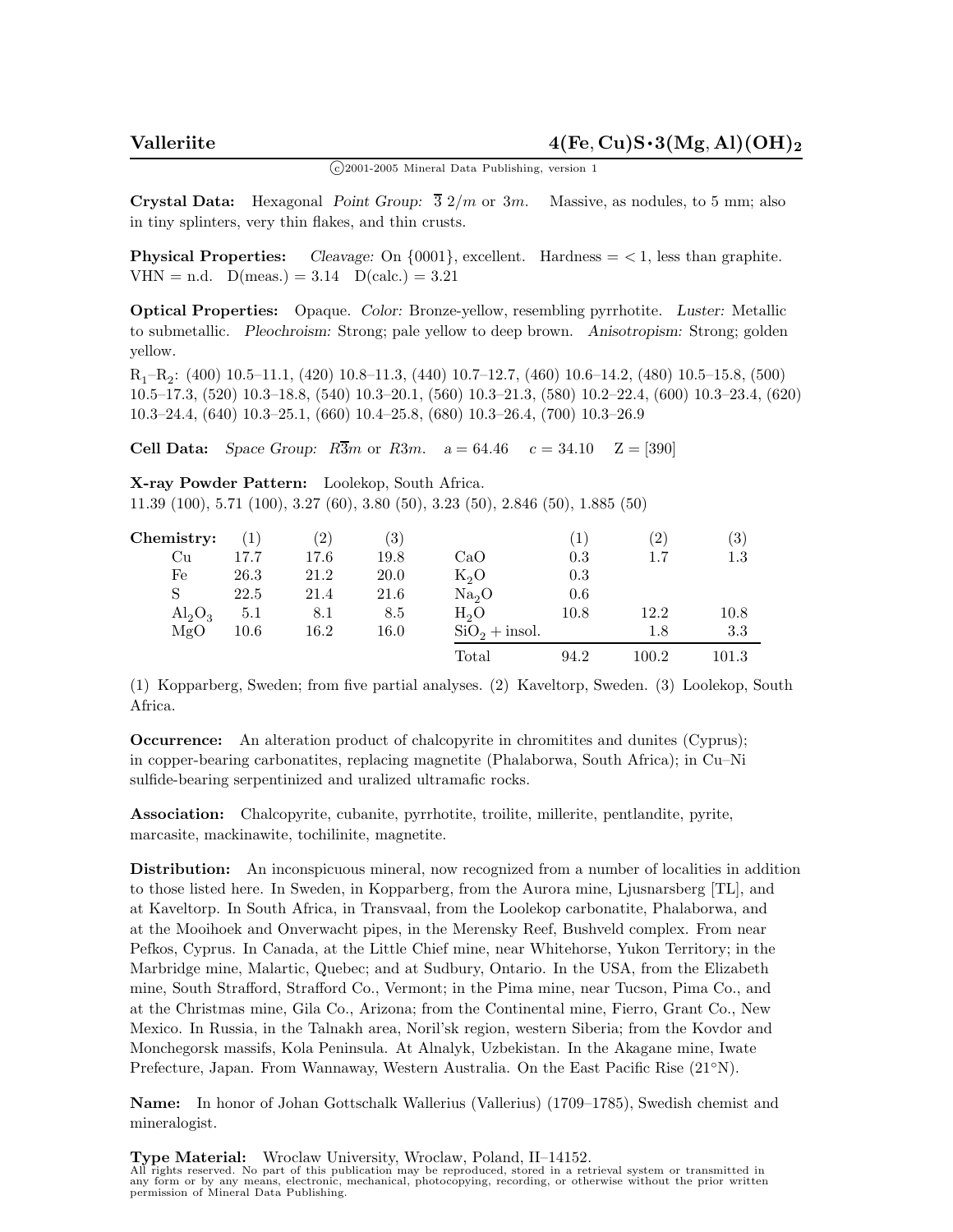$\binom{c}{2001-2005}$  Mineral Data Publishing, version 1

**Crystal Data:** Hexagonal *Point Group:* 3 2*/m* or 3*m.* Massive, as nodules, to 5 mm; also in tiny splinters, very thin flakes, and thin crusts.

**Physical Properties:** *Cleavage:* On  $\{0001\}$ , excellent. Hardness = < 1, less than graphite. VHN = n.d.  $D(meas.) = 3.14$   $D(calc.) = 3.21$ 

**Optical Properties:** Opaque. *Color:* Bronze-yellow, resembling pyrrhotite. *Luster:* Metallic to submetallic. *Pleochroism:* Strong; pale yellow to deep brown. *Anisotropism:* Strong; golden yellow.

 $R_1-R_2$ : (400) 10.5–11.1, (420) 10.8–11.3, (440) 10.7–12.7, (460) 10.6–14.2, (480) 10.5–15.8, (500) 10.5–17.3, (520) 10.3–18.8, (540) 10.3–20.1, (560) 10.3–21.3, (580) 10.2–22.4, (600) 10.3–23.4, (620) 10.3–24.4, (640) 10.3–25.1, (660) 10.4–25.8, (680) 10.3–26.4, (700) 10.3–26.9

**Cell Data:** *Space Group:*  $R\overline{3}m$  or  $R\overline{3}m$ .  $a = 64.46$   $c = 34.10$   $Z = [390]$ 

**X-ray Powder Pattern:** Loolekop, South Africa. 11.39 (100), 5.71 (100), 3.27 (60), 3.80 (50), 3.23 (50), 2.846 (50), 1.885 (50)

| Chemistry:                  | $\left  \right $ | (2)  | (3)  |                   | $\perp$ | $^{\prime}2^{\cdot}$ | $\left( 3\right)$ |
|-----------------------------|------------------|------|------|-------------------|---------|----------------------|-------------------|
| Сu                          | 17.7             | 17.6 | 19.8 | CaO               | 0.3     | 1.7                  | $1.3\,$           |
| Fe                          | 26.3             | 21.2 | 20.0 | $K_2O$            | 0.3     |                      |                   |
| S                           | 22.5             | 21.4 | 21.6 | Na <sub>2</sub> O | 0.6     |                      |                   |
| $\mathrm{Al}_2\mathrm{O}_3$ | 5.1              | 8.1  | 8.5  | $H_2O$            | 10.8    | 12.2                 | 10.8              |
| MgO                         | $10.6\,$         | 16.2 | 16.0 | $SiO2 + insol.$   |         | $1.8\,$              | 3.3               |
|                             |                  |      |      | Total             | 94.2    | 100.2                | $101.3\,$         |

(1) Kopparberg, Sweden; from five partial analyses. (2) Kaveltorp, Sweden. (3) Loolekop, South Africa.

**Occurrence:** An alteration product of chalcopyrite in chromitites and dunites (Cyprus); in copper-bearing carbonatites, replacing magnetite (Phalaborwa, South Africa); in Cu–Ni sulfide-bearing serpentinized and uralized ultramafic rocks.

**Association:** Chalcopyrite, cubanite, pyrrhotite, troilite, millerite, pentlandite, pyrite, marcasite, mackinawite, tochilinite, magnetite.

**Distribution:** An inconspicuous mineral, now recognized from a number of localities in addition to those listed here. In Sweden, in Kopparberg, from the Aurora mine, Ljusnarsberg [TL], and at Kaveltorp. In South Africa, in Transvaal, from the Loolekop carbonatite, Phalaborwa, and at the Mooihoek and Onverwacht pipes, in the Merensky Reef, Bushveld complex. From near Pefkos, Cyprus. In Canada, at the Little Chief mine, near Whitehorse, Yukon Territory; in the Marbridge mine, Malartic, Quebec; and at Sudbury, Ontario. In the USA, from the Elizabeth mine, South Strafford, Strafford Co., Vermont; in the Pima mine, near Tucson, Pima Co., and at the Christmas mine, Gila Co., Arizona; from the Continental mine, Fierro, Grant Co., New Mexico. In Russia, in the Talnakh area, Noril'sk region, western Siberia; from the Kovdor and Monchegorsk massifs, Kola Peninsula. At Alnalyk, Uzbekistan. In the Akagane mine, Iwate Prefecture, Japan. From Wannaway, Western Australia. On the East Pacific Rise (21◦N).

**Name:** In honor of Johan Gottschalk Wallerius (Vallerius) (1709–1785), Swedish chemist and mineralogist.